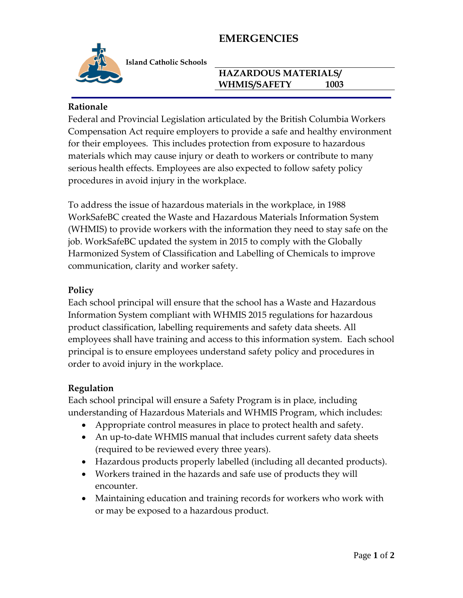## **EMERGENCIES**



**Island Catholic Schools** 

### **HAZARDOUS MATERIALS/ WHMIS/SAFETY 1003**

### **Rationale**

Federal and Provincial Legislation articulated by the British Columbia Workers Compensation Act require employers to provide a safe and healthy environment for their employees. This includes protection from exposure to hazardous materials which may cause injury or death to workers or contribute to many serious health effects. Employees are also expected to follow safety policy procedures in avoid injury in the workplace.

To address the issue of hazardous materials in the workplace, in 1988 WorkSafeBC created the Waste and Hazardous Materials Information System (WHMIS) to provide workers with the information they need to stay safe on the job. WorkSafeBC updated the system in 2015 to comply with the Globally Harmonized System of Classification and Labelling of Chemicals to improve communication, clarity and worker safety.

### **Policy**

Each school principal will ensure that the school has a Waste and Hazardous Information System compliant with WHMIS 2015 regulations for hazardous product classification, labelling requirements and safety data sheets. All employees shall have training and access to this information system. Each school principal is to ensure employees understand safety policy and procedures in order to avoid injury in the workplace.

#### **Regulation**

Each school principal will ensure a Safety Program is in place, including understanding of Hazardous Materials and WHMIS Program, which includes:

- Appropriate control measures in place to protect health and safety.
- An up-to-date WHMIS manual that includes current safety data sheets (required to be reviewed every three years).
- Hazardous products properly labelled (including all decanted products).
- Workers trained in the hazards and safe use of products they will encounter.
- Maintaining education and training records for workers who work with or may be exposed to a hazardous product.